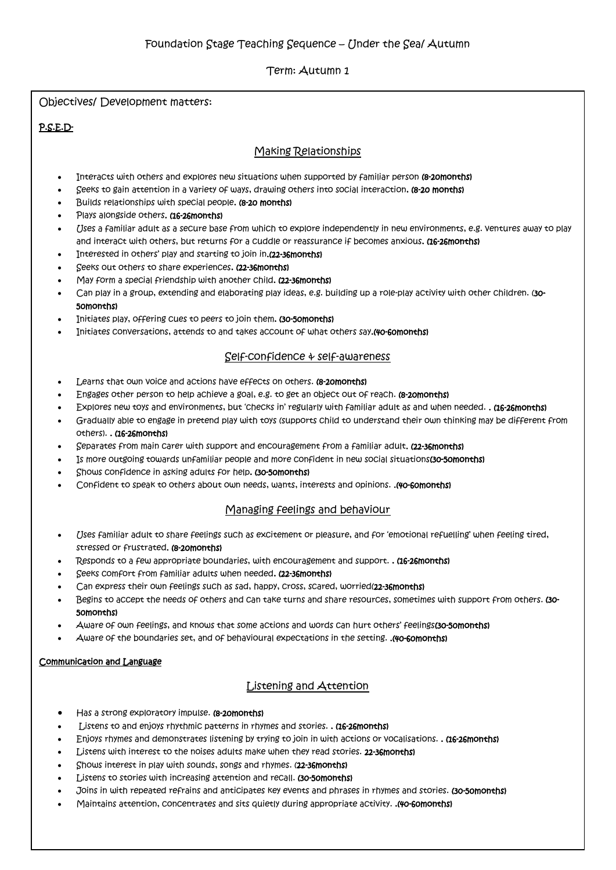Term: Autumn 1

Objectives/ Development matters:

## P.S.E.D-

# Making Relationships

- Interacts with others and explores new situations when supported by familiar person (8-20months)
- Seeks to gain attention in a Variety of ways, drawing others into social interaction. (8-20 months)
- Builds relationships with special people. (8-20 months)
- Plays alongside others. (16-26months)
- Uses a familiar adult as a secure base from which to explore independently in new environments, e.g. ventures away to play and interact with others, but returns for a cuddle or reassurance if becomes anxious. (16-26months)
- Interested in others' play and starting to join in.(22-36months)
- Seeks out others to share experiences. (22-36months)
- May form a special friendship with another child. (22-36months)
- Can play in a group, extending and elaborating play ideas, e.g. building up a role-play activity with other children. (30- 50months)
- Initiates play, offering cues to peers to join them. (30-50months)
- Initiates conversations, attends to and takes account of what others say.(40-60months)

### Self-confidence & self-awareness

- Learns that own voice and actions have effects on others. (8-20months)
- Engages other person to help achieve a goal, e.g. to get an object out of reach. (8-20months)
- Explores new toys and environments, but 'checks in' regularly with familiar adult as and when needed. . (16-26months)
- Gradually able to engage in pretend play with toys (supports child to understand their own thinking may be different from others). . (16-26months)
- Separates from main carer with support and encouragement from a familiar adult. (22-36months)
- Is more outgoing towards unfamiliar people and more confident in new social situations(30-50months)
- Shows confidence in asking adults for help. (30-50months)
- Confident to speak to others about own needs, wants, interests and opinions. .(40-60months)

### Managing feelings and behaviour

- Uses familiar adult to share feelings such as excitement or pleasure, and for 'emotional refuelling' when feeling tired, stressed or frustrated. (8-20months)
- Responds to a few appropriate boundaries, with encouragement and support. . (16-26months)
- Seeks comfort from familiar adults when needed. (22-36months)
- Can express their own feelings such as sad, happy, cross, scared, worried(22-36months)
- Begins to accept the needs of others and can take turns and share resources, sometimes with support from others. (30-50months)
- Aware of own feelings, and knows that some actions and words can hurt others' feelings(30-50months)
- Aware of the boundaries set, and of behavioural expectations in the setting. . (40-60months)

### Communication and Language

# Listening and Attention

- Has a strong exploratory impulse. (8-20 months)
- Listens to and enjoys rhythmic patterns in rhymes and stories. . (16-26 months)
- Enjoys rhymes and demonstrates listening by trying to join in with actions or vocalisations. . (16-26months)
- Listens with interest to the noises adults make when they read stories. 22-36months)
- Shows interest in play with sounds, songs and rhymes. (22-36months)
- Listens to stories with increasing attention and recall. (30-50 months)
- Joins in with repeated refrains and anticipates key events and phrases in rhymes and stories. (30-50months)
- Maintains attention, concentrates and sits quietly during appropriate activity. .(40-60months)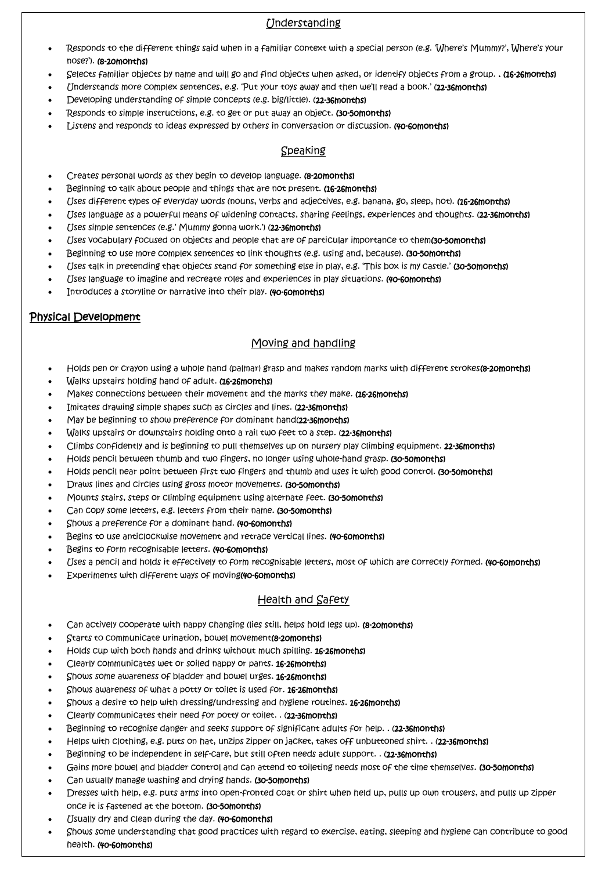# Understanding

- Responds to the different things said when in a familiar context with a special person (e.g. 'Where's Mummy?', Where's your nose?'). (8-20months)
- Selects familiar objects by name and will go and find objects when asked, or identify objects from a group. . (16-26months)
- Understands more complex sentences, e.g. 'Put your toys away and then we'll read a book.' (22-36months)
- Developing understanding of simple concepts (e.g. big/little). (22-36months)
- Responds to simple instructions, e.g. to get or put away an object. (30-50months)
- Listens and responds to ideas expressed by others in conversation or discussion. (40-60months)

# Speaking

- Creates personal words as they begin to develop language. (8-20months)
- Beginning to talk about people and things that are not present. (16-26months)
- Uses different types of everyday words (nouns, verbs and adjectives, e.g. banana, go, sleep, hot). (16-26months)
- Uses language as a powerful means of widening contacts, sharing feelings, experiences and thoughts. (22-36months)
- Uses simple sentences (e.g.' Mummy gonna work.') (22-36 months)
- Uses vocabulary focused on objects and people that are of particular importance to them(30-50months)
- Beginning to use more complex sentences to link thoughts (e.g. using and, because). (30-50months)
- Uses talk in pretending that objects stand for something else in play, e.g. 'This box is my castle.' (30-50months)
- (Jses language to imagine and recreate roles and experiences in play situations. (40-60months)
- Introduces a storyline or narrative into their play. (40-60 months)

# Physical Development

## Moving and handling

- Holds pen or crayon using a whole hand (palmar) grasp and makes random marks with different strokes(8-20months)
- Walks upstairs holding hand of adult. (16-26months)
- Makes connections between their movement and the marks they make. (16-26 months)
- Imitates drawing simple shapes such as circles and lines. (22-36months)
- May be beginning to show preference for dominant hand(22-36months)
- Walks upstairs or downstairs holding onto a rail two feet to a step. (22-36months)
- Climbs confidently and is beginning to pull themselves up on nursery play climbing equipment. 22-36months)
- Holds pencil between thumb and two fingers, no longer using whole-hand grasp. (30-50months)
- Holds pencil near point between first two fingers and thumb and uses it with good control. (30-50months)
- Draws lines and circles using gross motor movements. (30-50months)
- Mounts stairs, steps or climbing equipment using alternate feet. (30-50months)
- Can copy some letters, e.g. letters from their name. (30-50months)
- Shows a preference for a dominant hand. (40-60months)
- Begins to use anticlockwise movement and retrace vertical lines. (40-60months)
- Begins to form recognisable letters. (40-60months)
- (Jses a pencil and holds it effectively to form recognisable letters, most of which are correctly formed. (40-60months)
- Experiments with different ways of moving(40-60months)

### Health and Safety

- Can actively cooperate with nappy changing (lies still, helps hold legs up). (8-20months)
- Starts to communicate urination, bowel movement(8-20months)
- Holds cup with both hands and drinks without much spilling. 16-26months)
- Clearly communicates wet or soiled nappy or pants. 16-26months)
- Shows some awareness of bladder and bowel urges. 16-26months)
- Shows awareness of what a potty or toilet is used for. 16-26months)
- Shows a desire to help with dressing/undressing and hygiene routines. 16-26months)
- Clearly communicates their need for potty or toilet. . (22-36months)
- Beginning to recognise danger and seeks support of significant adults for help. . (22-36months)
- Helps with clothing, e.g. puts on hat, unzips zipper on jacket, takes off unbuttoned shirt. . (22-36months)
- Beginning to be independent in self-care, but still often needs adult support. . (22-36months)
- Gains more bowel and bladder control and can attend to toileting needs most of the time themselves. (30-50months)
- Can usually manage washing and drying hands. (30-50months)
- Dresses with help, e.g. puts arms into open-fronted coat or shirt when held up, pulls up own trousers, and pulls up zipper once it is fastened at the bottom. (30-50months)
- Usually dry and clean during the day. (40-60months)
- Shows some understanding that good practices with regard to exercise, eating, sleeping and hygiene can contribute to good health. (40-60months)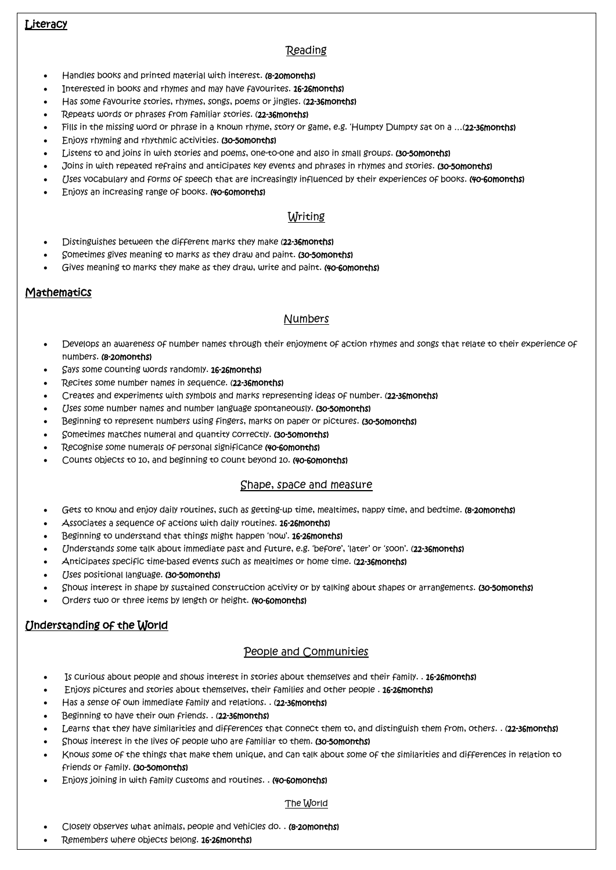# **Literacy**

# **Reading**

- Handles books and printed material with interest. (8-20months)
- Interested in books and rhymes and may have favourites. 16-26months)
- Has some favourite stories, rhymes, songs, poems or jingles. (22-36months)
- Repeats words or phrases from familiar stories. (22-36months)
- Fills in the missing word or phrase in a known rhyme, story or game, e.g. 'Humpty Dumpty sat on a ... (22-36months)
- Enjoys rhyming and rhythmic activities. (30-50months)
- Listens to and joins in with stories and poems, one-to-one and also in small groups. (30-50months)
- Joins in with repeated refrains and anticipates key events and phrases in rhymes and stories. (30-50months)
- (Jses vocabulary and forms of speech that are increasingly influenced by their experiences of books. (40-60months)
- Enjoys an increasing range of books. (40-60months)

### Writing

- Distinguishes between the different marks they make (22-36months)
- Sometimes gives meaning to marks as they draw and paint. (30-50months)
- Gives meaning to marks they make as they draw, write and paint. (40-60 months)

### **Mathematics**

### Numbers

- Develops an awareness of number names through their enjoyment of action rhymes and songs that relate to their experience of numbers. (8-20months)
- Says some counting words randomly. 16-26months)
- Recites some number names in sequence. (22-36months)
- Creates and experiments with symbols and marks representing ideas of number. (22-36months)
- Uses some number names and number language spontaneously. (30-50months)
- Beginning to represent numbers using fingers, marks on paper or pictures. (30-50months)
- Sometimes matches numeral and quantity correctly. (30-50months)
- Recognise some numerals of personal significance (40-60months)
- Counts objects to 10, and beginning to count beyond 10. (40-60months)

#### Shape, space and measure

- Gets to know and enjoy daily routines, such as getting-up time, mealtimes, nappy time, and bedtime. (8-20months)
- Associates a sequence of actions with daily routines. 16-26months)
- Beginning to understand that things might happen 'now'. 16-26months)
- Understands some talk about immediate past and future, e.g. 'before', 'later' or 'soon'. (22-36months)
- Anticipates specific time-based events such as mealtimes or home time. (22-36months)
- Uses positional language. (30-50months)
- Shows interest in shape by sustained construction activity or by talking about shapes or arrangements. (30-50months)
- Orders two or three items by length or height. (40-60months)

# Understanding of the World

Ξ

#### People and Communities

- Is curious about people and shows interest in stories about themselves and their family. . 16-26months)
- Enjoys pictures and stories about themselves, their families and other people . 16-26months)
- Has a sense of own immediate family and relations. . (22-36 months)
- Beginning to have their own friends. . (22-36months)
- Learns that they have similarities and differences that connect them to, and distinguish them from, others. . (22-36months)
- Shows interest in the lives of people who are familiar to them. (30-50months)
- Knows some of the things that make them unique, and can talk about some of the similarities and differences in relation to friends or family. (30-50months)
- Enjoys joining in with family customs and routines. . (40-60months)

#### **The Morld**

- Closely observes what animals, people and vehicles do. . (8-20months)
- Remembers where objects belong. 16-26months)